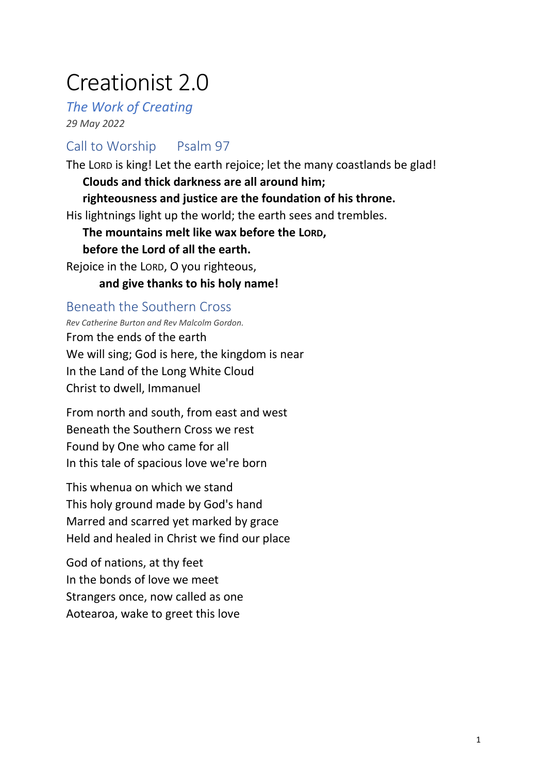# Creationist 2.0

*The Work of Creating 29 May 2022*

Call to Worship Psalm 97

The LORD is king! Let the earth rejoice; let the many coastlands be glad!

**Clouds and thick darkness are all around him;** 

**righteousness and justice are the foundation of his throne.** 

His lightnings light up the world; the earth sees and trembles.

**The mountains melt like wax before the LORD,** 

# **before the Lord of all the earth.**

Rejoice in the LORD, O you righteous, **and give thanks to his holy name!** 

# Beneath the Southern Cross

*Rev Catherine Burton and Rev Malcolm Gordon.*

From the ends of the earth We will sing; God is here, the kingdom is near In the Land of the Long White Cloud Christ to dwell, Immanuel

From north and south, from east and west Beneath the Southern Cross we rest Found by One who came for all In this tale of spacious love we're born

This whenua on which we stand This holy ground made by God's hand Marred and scarred yet marked by grace Held and healed in Christ we find our place

God of nations, at thy feet In the bonds of love we meet Strangers once, now called as one Aotearoa, wake to greet this love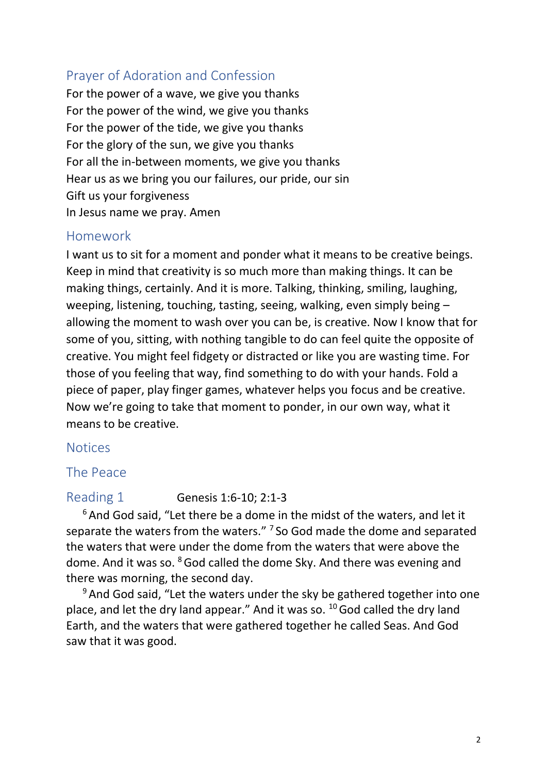# Prayer of Adoration and Confession

For the power of a wave, we give you thanks For the power of the wind, we give you thanks For the power of the tide, we give you thanks For the glory of the sun, we give you thanks For all the in-between moments, we give you thanks Hear us as we bring you our failures, our pride, our sin Gift us your forgiveness In Jesus name we pray. Amen

### Homework

I want us to sit for a moment and ponder what it means to be creative beings. Keep in mind that creativity is so much more than making things. It can be making things, certainly. And it is more. Talking, thinking, smiling, laughing, weeping, listening, touching, tasting, seeing, walking, even simply being – allowing the moment to wash over you can be, is creative. Now I know that for some of you, sitting, with nothing tangible to do can feel quite the opposite of creative. You might feel fidgety or distracted or like you are wasting time. For those of you feeling that way, find something to do with your hands. Fold a piece of paper, play finger games, whatever helps you focus and be creative. Now we're going to take that moment to ponder, in our own way, what it means to be creative.

### **Notices**

### The Peace

Reading 1 Genesis 1:6-10; 2:1-3

 $6$  And God said, "Let there be a dome in the midst of the waters, and let it separate the waters from the waters."  $7$  So God made the dome and separated the waters that were under the dome from the waters that were above the dome. And it was so. <sup>8</sup> God called the dome Sky. And there was evening and there was morning, the second day.

 $9$  And God said, "Let the waters under the sky be gathered together into one place, and let the dry land appear." And it was so.  $10$  God called the dry land Earth, and the waters that were gathered together he called Seas. And God saw that it was good.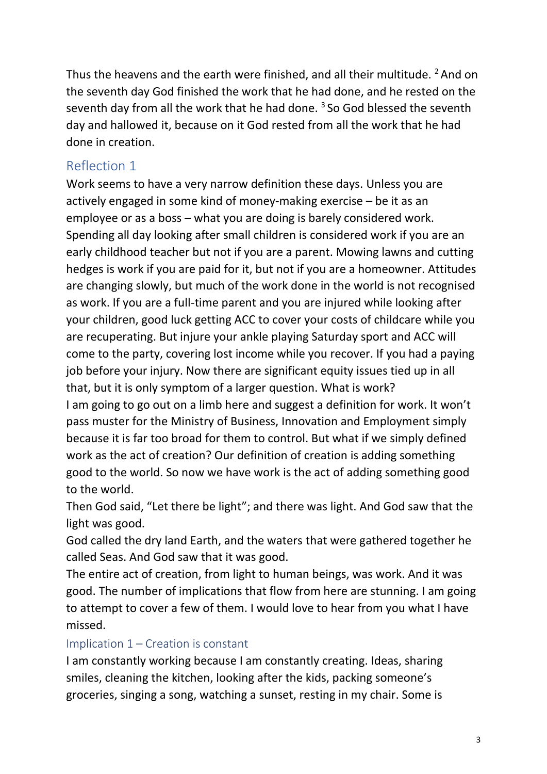Thus the heavens and the earth were finished, and all their multitude. <sup>2</sup> And on the seventh day God finished the work that he had done, and he rested on the seventh day from all the work that he had done.  $3$  So God blessed the seventh day and hallowed it, because on it God rested from all the work that he had done in creation.

# Reflection 1

Work seems to have a very narrow definition these days. Unless you are actively engaged in some kind of money-making exercise – be it as an employee or as a boss – what you are doing is barely considered work. Spending all day looking after small children is considered work if you are an early childhood teacher but not if you are a parent. Mowing lawns and cutting hedges is work if you are paid for it, but not if you are a homeowner. Attitudes are changing slowly, but much of the work done in the world is not recognised as work. If you are a full-time parent and you are injured while looking after your children, good luck getting ACC to cover your costs of childcare while you are recuperating. But injure your ankle playing Saturday sport and ACC will come to the party, covering lost income while you recover. If you had a paying job before your injury. Now there are significant equity issues tied up in all that, but it is only symptom of a larger question. What is work? I am going to go out on a limb here and suggest a definition for work. It won't pass muster for the Ministry of Business, Innovation and Employment simply because it is far too broad for them to control. But what if we simply defined work as the act of creation? Our definition of creation is adding something good to the world. So now we have work is the act of adding something good to the world.

Then God said, "Let there be light"; and there was light. And God saw that the light was good.

God called the dry land Earth, and the waters that were gathered together he called Seas. And God saw that it was good.

The entire act of creation, from light to human beings, was work. And it was good. The number of implications that flow from here are stunning. I am going to attempt to cover a few of them. I would love to hear from you what I have missed.

### Implication 1 – Creation is constant

I am constantly working because I am constantly creating. Ideas, sharing smiles, cleaning the kitchen, looking after the kids, packing someone's groceries, singing a song, watching a sunset, resting in my chair. Some is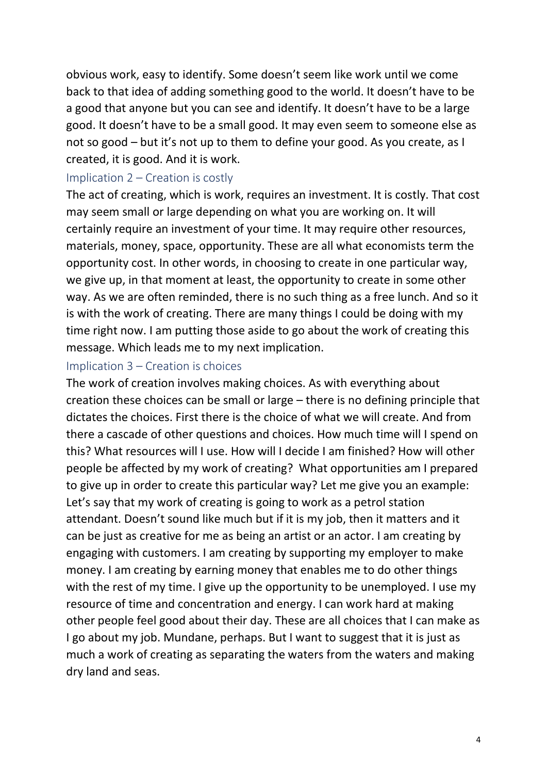obvious work, easy to identify. Some doesn't seem like work until we come back to that idea of adding something good to the world. It doesn't have to be a good that anyone but you can see and identify. It doesn't have to be a large good. It doesn't have to be a small good. It may even seem to someone else as not so good – but it's not up to them to define your good. As you create, as I created, it is good. And it is work.

#### Implication 2 – Creation is costly

The act of creating, which is work, requires an investment. It is costly. That cost may seem small or large depending on what you are working on. It will certainly require an investment of your time. It may require other resources, materials, money, space, opportunity. These are all what economists term the opportunity cost. In other words, in choosing to create in one particular way, we give up, in that moment at least, the opportunity to create in some other way. As we are often reminded, there is no such thing as a free lunch. And so it is with the work of creating. There are many things I could be doing with my time right now. I am putting those aside to go about the work of creating this message. Which leads me to my next implication.

#### Implication 3 – Creation is choices

The work of creation involves making choices. As with everything about creation these choices can be small or large – there is no defining principle that dictates the choices. First there is the choice of what we will create. And from there a cascade of other questions and choices. How much time will I spend on this? What resources will I use. How will I decide I am finished? How will other people be affected by my work of creating? What opportunities am I prepared to give up in order to create this particular way? Let me give you an example: Let's say that my work of creating is going to work as a petrol station attendant. Doesn't sound like much but if it is my job, then it matters and it can be just as creative for me as being an artist or an actor. I am creating by engaging with customers. I am creating by supporting my employer to make money. I am creating by earning money that enables me to do other things with the rest of my time. I give up the opportunity to be unemployed. I use my resource of time and concentration and energy. I can work hard at making other people feel good about their day. These are all choices that I can make as I go about my job. Mundane, perhaps. But I want to suggest that it is just as much a work of creating as separating the waters from the waters and making dry land and seas.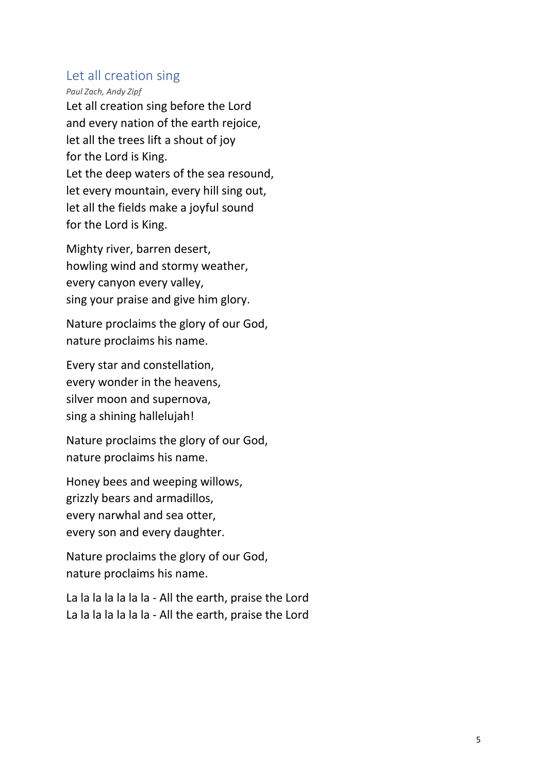### Let all creation sing

*Paul Zach, Andy Zipf*

Let all creation sing before the Lord and every nation of the earth rejoice, let all the trees lift a shout of joy for the Lord is King. Let the deep waters of the sea resound, let every mountain, every hill sing out, let all the fields make a joyful sound for the Lord is King.

Mighty river, barren desert, howling wind and stormy weather, every canyon every valley, sing your praise and give him glory.

Nature proclaims the glory of our God, nature proclaims his name.

Every star and constellation, every wonder in the heavens, silver moon and supernova, sing a shining hallelujah!

Nature proclaims the glory of our God, nature proclaims his name.

Honey bees and weeping willows, grizzly bears and armadillos, every narwhal and sea otter, every son and every daughter.

Nature proclaims the glory of our God, nature proclaims his name.

La la la la la la la - All the earth, praise the Lord La la la la la la la - All the earth, praise the Lord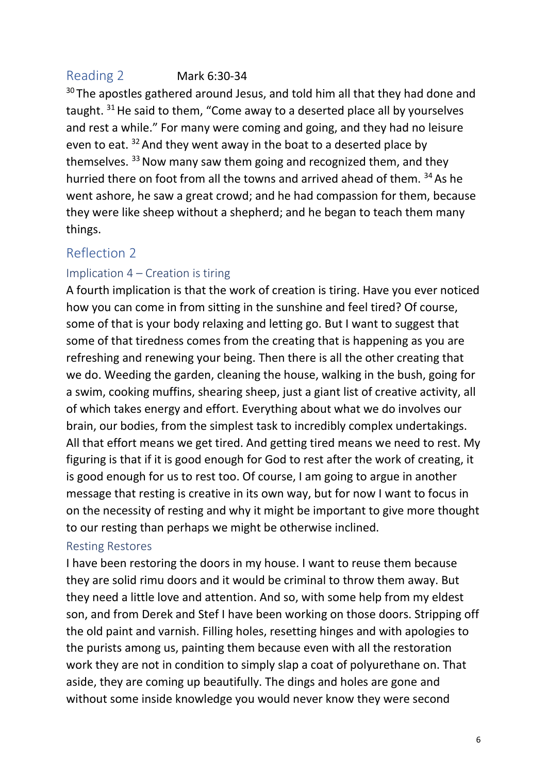# Reading 2 Mark 6:30-34

 $30$  The apostles gathered around Jesus, and told him all that they had done and taught.  $31$  He said to them, "Come away to a deserted place all by yourselves and rest a while." For many were coming and going, and they had no leisure even to eat.  $32$  And they went away in the boat to a deserted place by themselves.  $33$  Now many saw them going and recognized them, and they hurried there on foot from all the towns and arrived ahead of them. <sup>34</sup> As he went ashore, he saw a great crowd; and he had compassion for them, because they were like sheep without a shepherd; and he began to teach them many things.

# Reflection 2

## Implication 4 – Creation is tiring

A fourth implication is that the work of creation is tiring. Have you ever noticed how you can come in from sitting in the sunshine and feel tired? Of course, some of that is your body relaxing and letting go. But I want to suggest that some of that tiredness comes from the creating that is happening as you are refreshing and renewing your being. Then there is all the other creating that we do. Weeding the garden, cleaning the house, walking in the bush, going for a swim, cooking muffins, shearing sheep, just a giant list of creative activity, all of which takes energy and effort. Everything about what we do involves our brain, our bodies, from the simplest task to incredibly complex undertakings. All that effort means we get tired. And getting tired means we need to rest. My figuring is that if it is good enough for God to rest after the work of creating, it is good enough for us to rest too. Of course, I am going to argue in another message that resting is creative in its own way, but for now I want to focus in on the necessity of resting and why it might be important to give more thought to our resting than perhaps we might be otherwise inclined.

### Resting Restores

I have been restoring the doors in my house. I want to reuse them because they are solid rimu doors and it would be criminal to throw them away. But they need a little love and attention. And so, with some help from my eldest son, and from Derek and Stef I have been working on those doors. Stripping off the old paint and varnish. Filling holes, resetting hinges and with apologies to the purists among us, painting them because even with all the restoration work they are not in condition to simply slap a coat of polyurethane on. That aside, they are coming up beautifully. The dings and holes are gone and without some inside knowledge you would never know they were second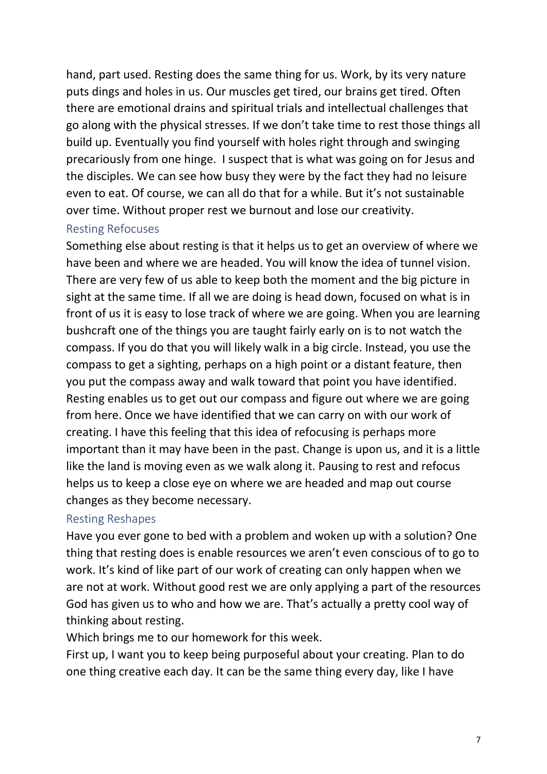hand, part used. Resting does the same thing for us. Work, by its very nature puts dings and holes in us. Our muscles get tired, our brains get tired. Often there are emotional drains and spiritual trials and intellectual challenges that go along with the physical stresses. If we don't take time to rest those things all build up. Eventually you find yourself with holes right through and swinging precariously from one hinge. I suspect that is what was going on for Jesus and the disciples. We can see how busy they were by the fact they had no leisure even to eat. Of course, we can all do that for a while. But it's not sustainable over time. Without proper rest we burnout and lose our creativity.

### Resting Refocuses

Something else about resting is that it helps us to get an overview of where we have been and where we are headed. You will know the idea of tunnel vision. There are very few of us able to keep both the moment and the big picture in sight at the same time. If all we are doing is head down, focused on what is in front of us it is easy to lose track of where we are going. When you are learning bushcraft one of the things you are taught fairly early on is to not watch the compass. If you do that you will likely walk in a big circle. Instead, you use the compass to get a sighting, perhaps on a high point or a distant feature, then you put the compass away and walk toward that point you have identified. Resting enables us to get out our compass and figure out where we are going from here. Once we have identified that we can carry on with our work of creating. I have this feeling that this idea of refocusing is perhaps more important than it may have been in the past. Change is upon us, and it is a little like the land is moving even as we walk along it. Pausing to rest and refocus helps us to keep a close eye on where we are headed and map out course changes as they become necessary.

### Resting Reshapes

Have you ever gone to bed with a problem and woken up with a solution? One thing that resting does is enable resources we aren't even conscious of to go to work. It's kind of like part of our work of creating can only happen when we are not at work. Without good rest we are only applying a part of the resources God has given us to who and how we are. That's actually a pretty cool way of thinking about resting.

Which brings me to our homework for this week.

First up, I want you to keep being purposeful about your creating. Plan to do one thing creative each day. It can be the same thing every day, like I have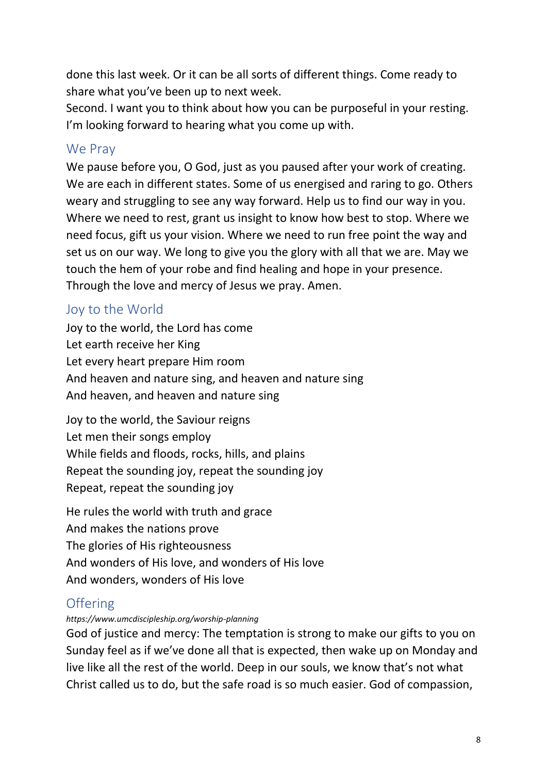done this last week. Or it can be all sorts of different things. Come ready to share what you've been up to next week.

Second. I want you to think about how you can be purposeful in your resting. I'm looking forward to hearing what you come up with.

# We Pray

We pause before you, O God, just as you paused after your work of creating. We are each in different states. Some of us energised and raring to go. Others weary and struggling to see any way forward. Help us to find our way in you. Where we need to rest, grant us insight to know how best to stop. Where we need focus, gift us your vision. Where we need to run free point the way and set us on our way. We long to give you the glory with all that we are. May we touch the hem of your robe and find healing and hope in your presence. Through the love and mercy of Jesus we pray. Amen.

# Joy to the World

Joy to the world, the Lord has come Let earth receive her King Let every heart prepare Him room And heaven and nature sing, and heaven and nature sing And heaven, and heaven and nature sing

Joy to the world, the Saviour reigns Let men their songs employ While fields and floods, rocks, hills, and plains Repeat the sounding joy, repeat the sounding joy Repeat, repeat the sounding joy

He rules the world with truth and grace And makes the nations prove The glories of His righteousness And wonders of His love, and wonders of His love And wonders, wonders of His love

# **Offering**

#### *https://www.umcdiscipleship.org/worship-planning*

God of justice and mercy: The temptation is strong to make our gifts to you on Sunday feel as if we've done all that is expected, then wake up on Monday and live like all the rest of the world. Deep in our souls, we know that's not what Christ called us to do, but the safe road is so much easier. God of compassion,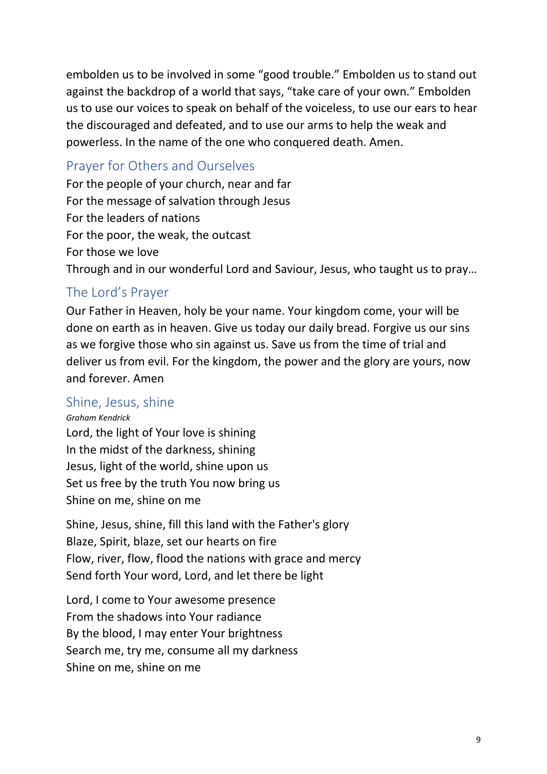embolden us to be involved in some "good trouble." Embolden us to stand out against the backdrop of a world that says, "take care of your own." Embolden us to use our voices to speak on behalf of the voiceless, to use our ears to hear the discouraged and defeated, and to use our arms to help the weak and powerless. In the name of the one who conquered death. Amen.

# Prayer for Others and Ourselves

For the people of your church, near and far For the message of salvation through Jesus For the leaders of nations For the poor, the weak, the outcast For those we love Through and in our wonderful Lord and Saviour, Jesus, who taught us to pray…

# The Lord's Prayer

Our Father in Heaven, holy be your name. Your kingdom come, your will be done on earth as in heaven. Give us today our daily bread. Forgive us our sins as we forgive those who sin against us. Save us from the time of trial and deliver us from evil. For the kingdom, the power and the glory are yours, now and forever. Amen

### Shine, Jesus, shine

*Graham Kendrick* Lord, the light of Your love is shining In the midst of the darkness, shining Jesus, light of the world, shine upon us Set us free by the truth You now bring us Shine on me, shine on me

Shine, Jesus, shine, fill this land with the Father's glory Blaze, Spirit, blaze, set our hearts on fire Flow, river, flow, flood the nations with grace and mercy Send forth Your word, Lord, and let there be light

Lord, I come to Your awesome presence From the shadows into Your radiance By the blood, I may enter Your brightness Search me, try me, consume all my darkness Shine on me, shine on me